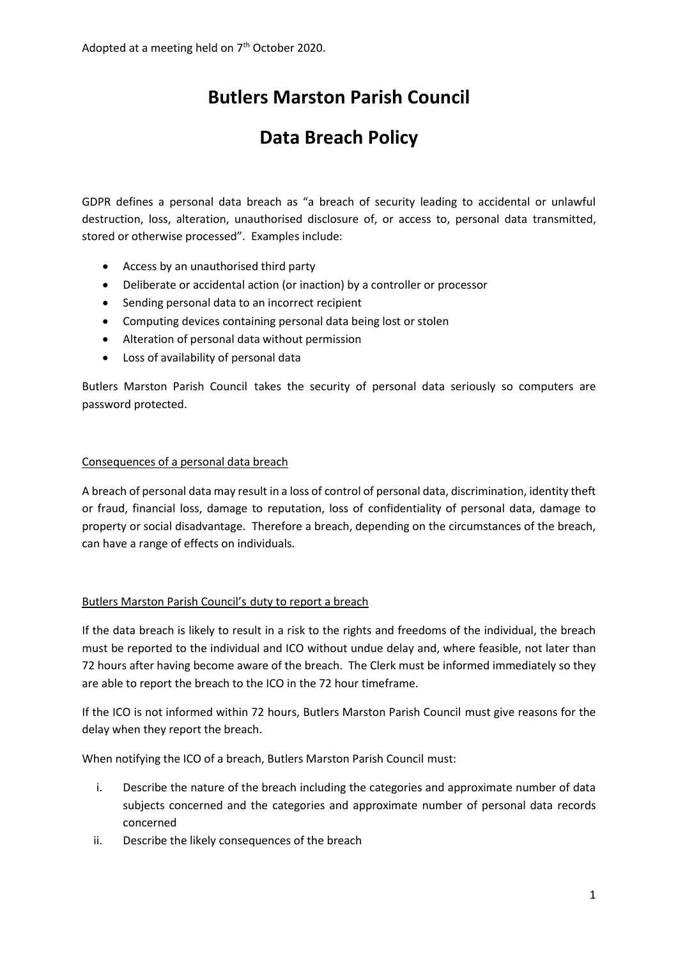# **Butlers Marston Parish Council**

## **Data Breach Policy**

GDPR defines a personal data breach as "a breach of security leading to accidental or unlawful destruction, loss, alteration, unauthorised disclosure of, or access to, personal data transmitted, stored or otherwise processed". Examples include:

- Access by an unauthorised third party
- Deliberate or accidental action (or inaction) by a controller or processor
- Sending personal data to an incorrect recipient
- Computing devices containing personal data being lost or stolen
- Alteration of personal data without permission
- Loss of availability of personal data

Butlers Marston Parish Council takes the security of personal data seriously so computers are password protected.

### Consequences of a personal data breach

A breach of personal data may result in a loss of control of personal data, discrimination, identity theft or fraud, financial loss, damage to reputation, loss of confidentiality of personal data, damage to property or social disadvantage. Therefore a breach, depending on the circumstances of the breach, can have a range of effects on individuals.

### Butlers Marston Parish Council's duty to report a breach

If the data breach is likely to result in a risk to the rights and freedoms of the individual, the breach must be reported to the individual and ICO without undue delay and, where feasible, not later than 72 hours after having become aware of the breach. The Clerk must be informed immediately so they are able to report the breach to the ICO in the 72 hour timeframe.

If the ICO is not informed within 72 hours, Butlers Marston Parish Council must give reasons for the delay when they report the breach.

When notifying the ICO of a breach, Butlers Marston Parish Council must:

- i. Describe the nature of the breach including the categories and approximate number of data subjects concerned and the categories and approximate number of personal data records concerned
- ii. Describe the likely consequences of the breach